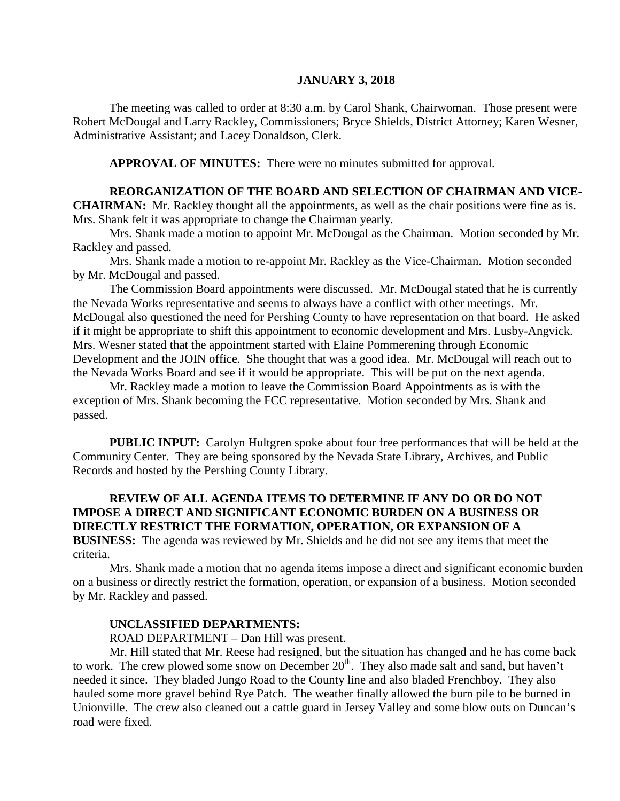#### **JANUARY 3, 2018**

The meeting was called to order at 8:30 a.m. by Carol Shank, Chairwoman. Those present were Robert McDougal and Larry Rackley, Commissioners; Bryce Shields, District Attorney; Karen Wesner, Administrative Assistant; and Lacey Donaldson, Clerk.

**APPROVAL OF MINUTES:** There were no minutes submitted for approval.

### **REORGANIZATION OF THE BOARD AND SELECTION OF CHAIRMAN AND VICE-**

**CHAIRMAN:** Mr. Rackley thought all the appointments, as well as the chair positions were fine as is. Mrs. Shank felt it was appropriate to change the Chairman yearly.

Mrs. Shank made a motion to appoint Mr. McDougal as the Chairman. Motion seconded by Mr. Rackley and passed.

Mrs. Shank made a motion to re-appoint Mr. Rackley as the Vice-Chairman. Motion seconded by Mr. McDougal and passed.

The Commission Board appointments were discussed. Mr. McDougal stated that he is currently the Nevada Works representative and seems to always have a conflict with other meetings. Mr. McDougal also questioned the need for Pershing County to have representation on that board. He asked if it might be appropriate to shift this appointment to economic development and Mrs. Lusby-Angvick. Mrs. Wesner stated that the appointment started with Elaine Pommerening through Economic Development and the JOIN office. She thought that was a good idea. Mr. McDougal will reach out to the Nevada Works Board and see if it would be appropriate. This will be put on the next agenda.

Mr. Rackley made a motion to leave the Commission Board Appointments as is with the exception of Mrs. Shank becoming the FCC representative. Motion seconded by Mrs. Shank and passed.

**PUBLIC INPUT:** Carolyn Hultgren spoke about four free performances that will be held at the Community Center. They are being sponsored by the Nevada State Library, Archives, and Public Records and hosted by the Pershing County Library.

#### **REVIEW OF ALL AGENDA ITEMS TO DETERMINE IF ANY DO OR DO NOT IMPOSE A DIRECT AND SIGNIFICANT ECONOMIC BURDEN ON A BUSINESS OR DIRECTLY RESTRICT THE FORMATION, OPERATION, OR EXPANSION OF A BUSINESS:** The agenda was reviewed by Mr. Shields and he did not see any items that meet the

criteria.

Mrs. Shank made a motion that no agenda items impose a direct and significant economic burden on a business or directly restrict the formation, operation, or expansion of a business. Motion seconded by Mr. Rackley and passed.

#### **UNCLASSIFIED DEPARTMENTS:**

ROAD DEPARTMENT – Dan Hill was present.

Mr. Hill stated that Mr. Reese had resigned, but the situation has changed and he has come back to work. The crew plowed some snow on December 20<sup>th</sup>. They also made salt and sand, but haven't needed it since. They bladed Jungo Road to the County line and also bladed Frenchboy. They also hauled some more gravel behind Rye Patch. The weather finally allowed the burn pile to be burned in Unionville. The crew also cleaned out a cattle guard in Jersey Valley and some blow outs on Duncan's road were fixed.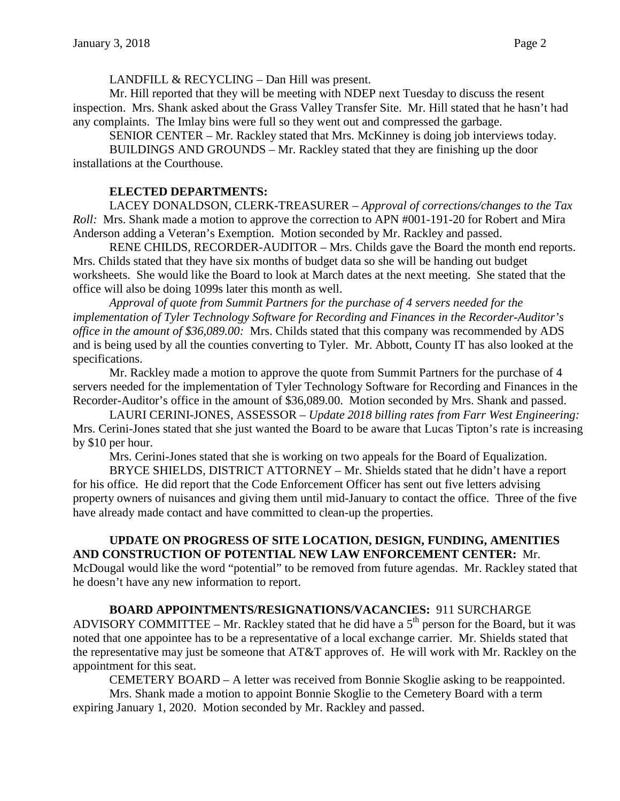LANDFILL & RECYCLING – Dan Hill was present.

Mr. Hill reported that they will be meeting with NDEP next Tuesday to discuss the resent inspection. Mrs. Shank asked about the Grass Valley Transfer Site. Mr. Hill stated that he hasn't had any complaints. The Imlay bins were full so they went out and compressed the garbage.

SENIOR CENTER – Mr. Rackley stated that Mrs. McKinney is doing job interviews today.

BUILDINGS AND GROUNDS – Mr. Rackley stated that they are finishing up the door installations at the Courthouse.

# **ELECTED DEPARTMENTS:**

 LACEY DONALDSON, CLERK-TREASURER – *Approval of corrections/changes to the Tax Roll:* Mrs. Shank made a motion to approve the correction to APN #001-191-20 for Robert and Mira Anderson adding a Veteran's Exemption. Motion seconded by Mr. Rackley and passed.

RENE CHILDS, RECORDER-AUDITOR – Mrs. Childs gave the Board the month end reports. Mrs. Childs stated that they have six months of budget data so she will be handing out budget worksheets. She would like the Board to look at March dates at the next meeting. She stated that the office will also be doing 1099s later this month as well.

*Approval of quote from Summit Partners for the purchase of 4 servers needed for the implementation of Tyler Technology Software for Recording and Finances in the Recorder-Auditor's office in the amount of \$36,089.00:* Mrs. Childs stated that this company was recommended by ADS and is being used by all the counties converting to Tyler. Mr. Abbott, County IT has also looked at the specifications.

Mr. Rackley made a motion to approve the quote from Summit Partners for the purchase of 4 servers needed for the implementation of Tyler Technology Software for Recording and Finances in the Recorder-Auditor's office in the amount of \$36,089.00. Motion seconded by Mrs. Shank and passed.

LAURI CERINI-JONES, ASSESSOR – *Update 2018 billing rates from Farr West Engineering:*  Mrs. Cerini-Jones stated that she just wanted the Board to be aware that Lucas Tipton's rate is increasing by \$10 per hour.

Mrs. Cerini-Jones stated that she is working on two appeals for the Board of Equalization.

BRYCE SHIELDS, DISTRICT ATTORNEY – Mr. Shields stated that he didn't have a report for his office. He did report that the Code Enforcement Officer has sent out five letters advising property owners of nuisances and giving them until mid-January to contact the office. Three of the five have already made contact and have committed to clean-up the properties.

# **UPDATE ON PROGRESS OF SITE LOCATION, DESIGN, FUNDING, AMENITIES AND CONSTRUCTION OF POTENTIAL NEW LAW ENFORCEMENT CENTER:** Mr.

McDougal would like the word "potential" to be removed from future agendas. Mr. Rackley stated that he doesn't have any new information to report.

# **BOARD APPOINTMENTS/RESIGNATIONS/VACANCIES:** 911 SURCHARGE

ADVISORY COMMITTEE – Mr. Rackley stated that he did have a  $5<sup>th</sup>$  person for the Board, but it was noted that one appointee has to be a representative of a local exchange carrier. Mr. Shields stated that the representative may just be someone that AT&T approves of. He will work with Mr. Rackley on the appointment for this seat.

CEMETERY BOARD – A letter was received from Bonnie Skoglie asking to be reappointed.

Mrs. Shank made a motion to appoint Bonnie Skoglie to the Cemetery Board with a term expiring January 1, 2020. Motion seconded by Mr. Rackley and passed.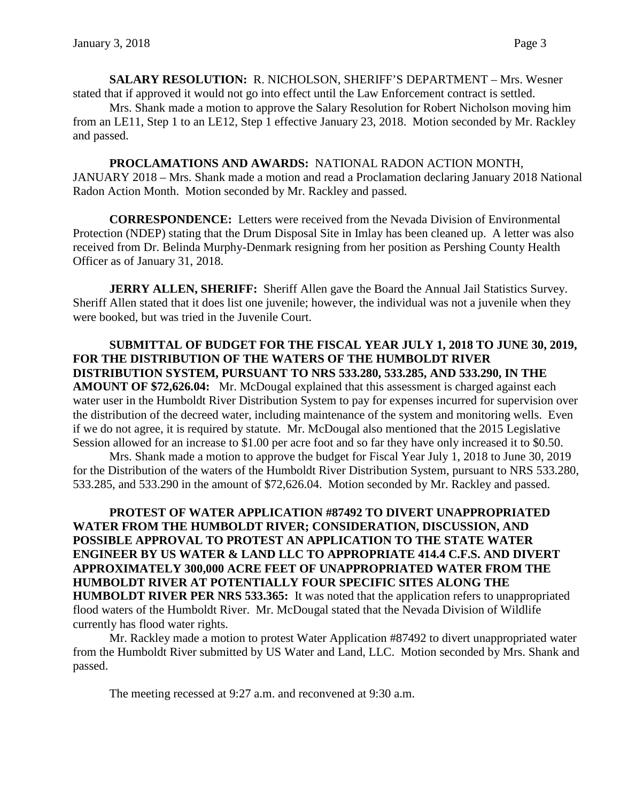**SALARY RESOLUTION:** R. NICHOLSON, SHERIFF'S DEPARTMENT – Mrs. Wesner stated that if approved it would not go into effect until the Law Enforcement contract is settled.

Mrs. Shank made a motion to approve the Salary Resolution for Robert Nicholson moving him from an LE11, Step 1 to an LE12, Step 1 effective January 23, 2018. Motion seconded by Mr. Rackley and passed.

**PROCLAMATIONS AND AWARDS:** NATIONAL RADON ACTION MONTH, JANUARY 2018 – Mrs. Shank made a motion and read a Proclamation declaring January 2018 National Radon Action Month. Motion seconded by Mr. Rackley and passed.

**CORRESPONDENCE:** Letters were received from the Nevada Division of Environmental Protection (NDEP) stating that the Drum Disposal Site in Imlay has been cleaned up. A letter was also received from Dr. Belinda Murphy-Denmark resigning from her position as Pershing County Health Officer as of January 31, 2018.

**JERRY ALLEN, SHERIFF:** Sheriff Allen gave the Board the Annual Jail Statistics Survey. Sheriff Allen stated that it does list one juvenile; however, the individual was not a juvenile when they were booked, but was tried in the Juvenile Court.

**SUBMITTAL OF BUDGET FOR THE FISCAL YEAR JULY 1, 2018 TO JUNE 30, 2019, FOR THE DISTRIBUTION OF THE WATERS OF THE HUMBOLDT RIVER DISTRIBUTION SYSTEM, PURSUANT TO NRS 533.280, 533.285, AND 533.290, IN THE AMOUNT OF \$72,626.04:** Mr. McDougal explained that this assessment is charged against each water user in the Humboldt River Distribution System to pay for expenses incurred for supervision over the distribution of the decreed water, including maintenance of the system and monitoring wells. Even if we do not agree, it is required by statute. Mr. McDougal also mentioned that the 2015 Legislative Session allowed for an increase to \$1.00 per acre foot and so far they have only increased it to \$0.50.

Mrs. Shank made a motion to approve the budget for Fiscal Year July 1, 2018 to June 30, 2019 for the Distribution of the waters of the Humboldt River Distribution System, pursuant to NRS 533.280, 533.285, and 533.290 in the amount of \$72,626.04. Motion seconded by Mr. Rackley and passed.

**PROTEST OF WATER APPLICATION #87492 TO DIVERT UNAPPROPRIATED WATER FROM THE HUMBOLDT RIVER; CONSIDERATION, DISCUSSION, AND POSSIBLE APPROVAL TO PROTEST AN APPLICATION TO THE STATE WATER ENGINEER BY US WATER & LAND LLC TO APPROPRIATE 414.4 C.F.S. AND DIVERT APPROXIMATELY 300,000 ACRE FEET OF UNAPPROPRIATED WATER FROM THE HUMBOLDT RIVER AT POTENTIALLY FOUR SPECIFIC SITES ALONG THE HUMBOLDT RIVER PER NRS 533.365:** It was noted that the application refers to unappropriated flood waters of the Humboldt River. Mr. McDougal stated that the Nevada Division of Wildlife currently has flood water rights.

Mr. Rackley made a motion to protest Water Application #87492 to divert unappropriated water from the Humboldt River submitted by US Water and Land, LLC. Motion seconded by Mrs. Shank and passed.

The meeting recessed at 9:27 a.m. and reconvened at 9:30 a.m.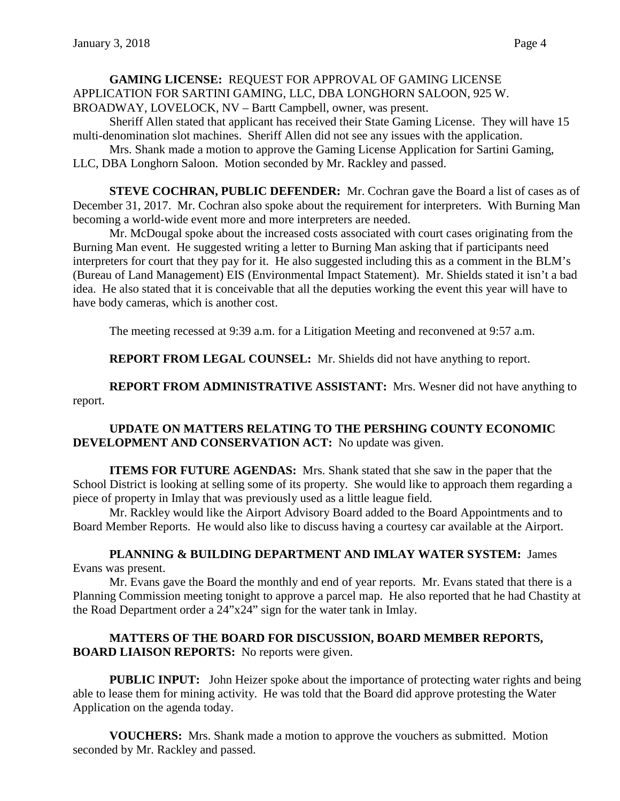**GAMING LICENSE:** REQUEST FOR APPROVAL OF GAMING LICENSE APPLICATION FOR SARTINI GAMING, LLC, DBA LONGHORN SALOON, 925 W. BROADWAY, LOVELOCK, NV – Bartt Campbell, owner, was present.

Sheriff Allen stated that applicant has received their State Gaming License. They will have 15 multi-denomination slot machines. Sheriff Allen did not see any issues with the application.

Mrs. Shank made a motion to approve the Gaming License Application for Sartini Gaming, LLC, DBA Longhorn Saloon. Motion seconded by Mr. Rackley and passed.

**STEVE COCHRAN, PUBLIC DEFENDER:** Mr. Cochran gave the Board a list of cases as of December 31, 2017. Mr. Cochran also spoke about the requirement for interpreters. With Burning Man becoming a world-wide event more and more interpreters are needed.

Mr. McDougal spoke about the increased costs associated with court cases originating from the Burning Man event. He suggested writing a letter to Burning Man asking that if participants need interpreters for court that they pay for it. He also suggested including this as a comment in the BLM's (Bureau of Land Management) EIS (Environmental Impact Statement). Mr. Shields stated it isn't a bad idea. He also stated that it is conceivable that all the deputies working the event this year will have to have body cameras, which is another cost.

The meeting recessed at 9:39 a.m. for a Litigation Meeting and reconvened at 9:57 a.m.

**REPORT FROM LEGAL COUNSEL:** Mr. Shields did not have anything to report.

**REPORT FROM ADMINISTRATIVE ASSISTANT:** Mrs. Wesner did not have anything to report.

## **UPDATE ON MATTERS RELATING TO THE PERSHING COUNTY ECONOMIC DEVELOPMENT AND CONSERVATION ACT:** No update was given.

**ITEMS FOR FUTURE AGENDAS:** Mrs. Shank stated that she saw in the paper that the School District is looking at selling some of its property. She would like to approach them regarding a piece of property in Imlay that was previously used as a little league field.

Mr. Rackley would like the Airport Advisory Board added to the Board Appointments and to Board Member Reports. He would also like to discuss having a courtesy car available at the Airport.

## **PLANNING & BUILDING DEPARTMENT AND IMLAY WATER SYSTEM:** James Evans was present.

Mr. Evans gave the Board the monthly and end of year reports. Mr. Evans stated that there is a Planning Commission meeting tonight to approve a parcel map. He also reported that he had Chastity at the Road Department order a 24"x24" sign for the water tank in Imlay.

## **MATTERS OF THE BOARD FOR DISCUSSION, BOARD MEMBER REPORTS, BOARD LIAISON REPORTS:** No reports were given.

**PUBLIC INPUT:** John Heizer spoke about the importance of protecting water rights and being able to lease them for mining activity. He was told that the Board did approve protesting the Water Application on the agenda today.

**VOUCHERS:** Mrs. Shank made a motion to approve the vouchers as submitted. Motion seconded by Mr. Rackley and passed.